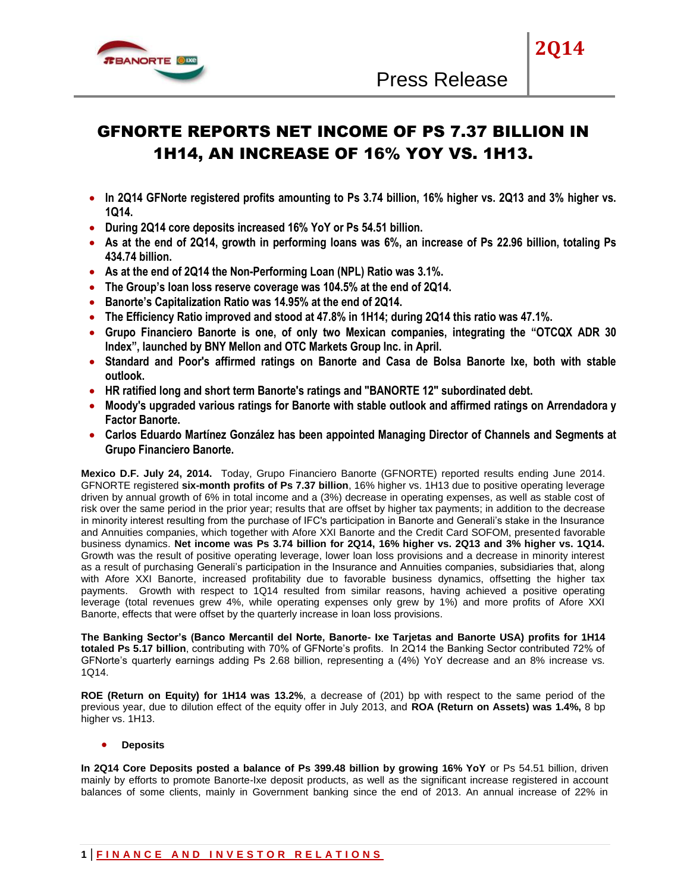

# GFNORTE REPORTS NET INCOME OF PS 7.37 BILLION IN 1H14, AN INCREASE OF 16% YOY VS. 1H13.

- **In 2Q14 GFNorte registered profits amounting to Ps 3.74 billion, 16% higher vs. 2Q13 and 3% higher vs. 1Q14.**
- **During 2Q14 core deposits increased 16% YoY or Ps 54.51 billion.**
- **As at the end of 2Q14, growth in performing loans was 6%, an increase of Ps 22.96 billion, totaling Ps 434.74 billion.**
- **As at the end of 2Q14 the Non-Performing Loan (NPL) Ratio was 3.1%.**
- **The Group's loan loss reserve coverage was 104.5% at the end of 2Q14.**
- **Banorte's Capitalization Ratio was 14.95% at the end of 2Q14.**
- **The Efficiency Ratio improved and stood at 47.8% in 1H14; during 2Q14 this ratio was 47.1%.**
- **Grupo Financiero Banorte is one, of only two Mexican companies, integrating the "OTCQX ADR 30 Index", launched by BNY Mellon and OTC Markets Group Inc. in April.**
- **Standard and Poor's affirmed ratings on Banorte and Casa de Bolsa Banorte Ixe, both with stable outlook.**
- **HR ratified long and short term Banorte's ratings and "BANORTE 12" subordinated debt.**
- **Moody's upgraded various ratings for Banorte with stable outlook and affirmed ratings on Arrendadora y Factor Banorte.**
- **Carlos Eduardo Martínez González has been appointed Managing Director of Channels and Segments at Grupo Financiero Banorte.**

**Mexico D.F. July 24, 2014.** Today, Grupo Financiero Banorte (GFNORTE) reported results ending June 2014. GFNORTE registered **six-month profits of Ps 7.37 billion**, 16% higher vs. 1H13 due to positive operating leverage driven by annual growth of 6% in total income and a (3%) decrease in operating expenses, as well as stable cost of risk over the same period in the prior year; results that are offset by higher tax payments; in addition to the decrease in minority interest resulting from the purchase of IFC's participation in Banorte and Generali's stake in the Insurance and Annuities companies, which together with Afore XXI Banorte and the Credit Card SOFOM, presented favorable business dynamics. **Net income was Ps 3.74 billion for 2Q14, 16% higher vs. 2Q13 and 3% higher vs. 1Q14.**  Growth was the result of positive operating leverage, lower loan loss provisions and a decrease in minority interest as a result of purchasing Generali's participation in the Insurance and Annuities companies, subsidiaries that, along with Afore XXI Banorte, increased profitability due to favorable business dynamics, offsetting the higher tax payments. Growth with respect to 1Q14 resulted from similar reasons, having achieved a positive operating leverage (total revenues grew 4%, while operating expenses only grew by 1%) and more profits of Afore XXI Banorte, effects that were offset by the quarterly increase in loan loss provisions.

**The Banking Sector's (Banco Mercantil del Norte, Banorte- Ixe Tarjetas and Banorte USA) profits for 1H14 totaled Ps 5.17 billion**, contributing with 70% of GFNorte's profits. In 2Q14 the Banking Sector contributed 72% of GFNorte's quarterly earnings adding Ps 2.68 billion, representing a (4%) YoY decrease and an 8% increase vs. 1Q14.

**ROE (Return on Equity) for 1H14 was 13.2%**, a decrease of (201) bp with respect to the same period of the previous year, due to dilution effect of the equity offer in July 2013, and **ROA (Return on Assets) was 1.4%,** 8 bp higher vs. 1H13.

**Deposits** 

**In 2Q14 Core Deposits posted a balance of Ps 399.48 billion by growing 16% YoY** or Ps 54.51 billion, driven mainly by efforts to promote Banorte-Ixe deposit products, as well as the significant increase registered in account balances of some clients, mainly in Government banking since the end of 2013. An annual increase of 22% in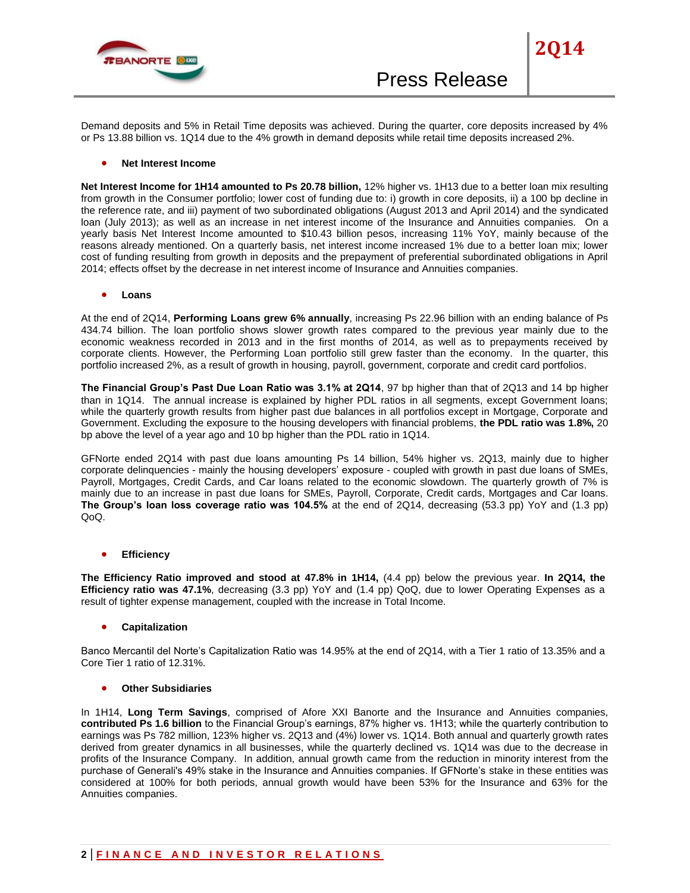

Demand deposits and 5% in Retail Time deposits was achieved. During the quarter, core deposits increased by 4% or Ps 13.88 billion vs. 1Q14 due to the 4% growth in demand deposits while retail time deposits increased 2%.

#### **Net Interest Income**

**Net Interest Income for 1H14 amounted to Ps 20.78 billion,** 12% higher vs. 1H13 due to a better loan mix resulting from growth in the Consumer portfolio; lower cost of funding due to: i) growth in core deposits, ii) a 100 bp decline in the reference rate, and iii) payment of two subordinated obligations (August 2013 and April 2014) and the syndicated loan (July 2013); as well as an increase in net interest income of the Insurance and Annuities companies. On a yearly basis Net Interest Income amounted to \$10.43 billion pesos, increasing 11% YoY, mainly because of the reasons already mentioned. On a quarterly basis, net interest income increased 1% due to a better loan mix; lower cost of funding resulting from growth in deposits and the prepayment of preferential subordinated obligations in April 2014; effects offset by the decrease in net interest income of Insurance and Annuities companies.

**Loans**

At the end of 2Q14, **Performing Loans grew 6% annually**, increasing Ps 22.96 billion with an ending balance of Ps 434.74 billion. The loan portfolio shows slower growth rates compared to the previous year mainly due to the economic weakness recorded in 2013 and in the first months of 2014, as well as to prepayments received by corporate clients. However, the Performing Loan portfolio still grew faster than the economy. In the quarter, this portfolio increased 2%, as a result of growth in housing, payroll, government, corporate and credit card portfolios.

**The Financial Group's Past Due Loan Ratio was 3.1% at 2Q14**, 97 bp higher than that of 2Q13 and 14 bp higher than in 1Q14. The annual increase is explained by higher PDL ratios in all segments, except Government loans; while the quarterly growth results from higher past due balances in all portfolios except in Mortgage, Corporate and Government. Excluding the exposure to the housing developers with financial problems, **the PDL ratio was 1.8%,** 20 bp above the level of a year ago and 10 bp higher than the PDL ratio in 1Q14.

GFNorte ended 2Q14 with past due loans amounting Ps 14 billion, 54% higher vs. 2Q13, mainly due to higher corporate delinquencies - mainly the housing developers' exposure - coupled with growth in past due loans of SMEs, Payroll, Mortgages, Credit Cards, and Car loans related to the economic slowdown. The quarterly growth of 7% is mainly due to an increase in past due loans for SMEs, Payroll, Corporate, Credit cards, Mortgages and Car loans. **The Group's loan loss coverage ratio was 104.5%** at the end of 2Q14, decreasing (53.3 pp) YoY and (1.3 pp) QoQ.

**Efficiency** 

**The Efficiency Ratio improved and stood at 47.8% in 1H14,** (4.4 pp) below the previous year. **In 2Q14, the Efficiency ratio was 47.1%**, decreasing (3.3 pp) YoY and (1.4 pp) QoQ, due to lower Operating Expenses as a result of tighter expense management, coupled with the increase in Total Income.

### **Capitalization**

Banco Mercantil del Norte's Capitalization Ratio was 14.95% at the end of 2Q14, with a Tier 1 ratio of 13.35% and a Core Tier 1 ratio of 12.31%.

#### **Other Subsidiaries**

In 1H14, **Long Term Savings**, comprised of Afore XXI Banorte and the Insurance and Annuities companies, **contributed Ps 1.6 billion** to the Financial Group's earnings, 87% higher vs. 1H13; while the quarterly contribution to earnings was Ps 782 million, 123% higher vs. 2Q13 and (4%) lower vs. 1Q14. Both annual and quarterly growth rates derived from greater dynamics in all businesses, while the quarterly declined vs. 1Q14 was due to the decrease in profits of the Insurance Company. In addition, annual growth came from the reduction in minority interest from the purchase of Generali's 49% stake in the Insurance and Annuities companies. If GFNorte's stake in these entities was considered at 100% for both periods, annual growth would have been 53% for the Insurance and 63% for the Annuities companies.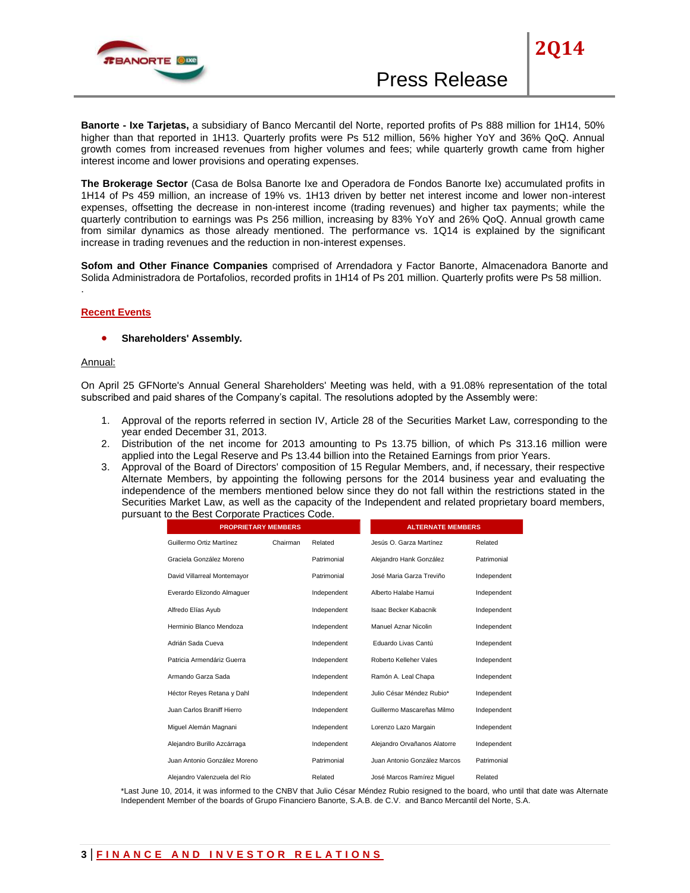

**Banorte - Ixe Tarjetas,** a subsidiary of Banco Mercantil del Norte, reported profits of Ps 888 million for 1H14, 50% higher than that reported in 1H13. Quarterly profits were Ps 512 million, 56% higher YoY and 36% QoQ. Annual growth comes from increased revenues from higher volumes and fees; while quarterly growth came from higher interest income and lower provisions and operating expenses.

**The Brokerage Sector** (Casa de Bolsa Banorte Ixe and Operadora de Fondos Banorte Ixe) accumulated profits in 1H14 of Ps 459 million, an increase of 19% vs. 1H13 driven by better net interest income and lower non-interest expenses, offsetting the decrease in non-interest income (trading revenues) and higher tax payments; while the quarterly contribution to earnings was Ps 256 million, increasing by 83% YoY and 26% QoQ. Annual growth came from similar dynamics as those already mentioned. The performance vs. 1Q14 is explained by the significant increase in trading revenues and the reduction in non-interest expenses.

**Sofom and Other Finance Companies** comprised of Arrendadora y Factor Banorte, Almacenadora Banorte and Solida Administradora de Portafolios, recorded profits in 1H14 of Ps 201 million. Quarterly profits were Ps 58 million.

#### **Recent Events**

#### **Shareholders' Assembly.**

#### Annual:

.

On April 25 GFNorte's Annual General Shareholders' Meeting was held, with a 91.08% representation of the total subscribed and paid shares of the Company's capital. The resolutions adopted by the Assembly were:

- 1. Approval of the reports referred in section IV, Article 28 of the Securities Market Law, corresponding to the year ended December 31, 2013.
- 2. Distribution of the net income for 2013 amounting to Ps 13.75 billion, of which Ps 313.16 million were applied into the Legal Reserve and Ps 13.44 billion into the Retained Earnings from prior Years.
- 3. Approval of the Board of Directors' composition of 15 Regular Members, and, if necessary, their respective Alternate Members, by appointing the following persons for the 2014 business year and evaluating the independence of the members mentioned below since they do not fall within the restrictions stated in the Securities Market Law, as well as the capacity of the Independent and related proprietary board members, pursuant to the Best Corporate Practices Code.

| <b>PROPRIETARY MEMBERS</b>   |          |             | <b>ALTERNATE MEMBERS</b>     |             |  |
|------------------------------|----------|-------------|------------------------------|-------------|--|
| Guillermo Ortiz Martínez     | Chairman | Related     | Jesús O. Garza Martínez      | Related     |  |
| Graciela González Moreno     |          | Patrimonial | Alejandro Hank González      | Patrimonial |  |
| David Villarreal Montemayor  |          | Patrimonial | José Maria Garza Treviño     | Independent |  |
| Everardo Elizondo Almaquer   |          | Independent | Alberto Halabe Hamui         | Independent |  |
| Alfredo Elías Ayub           |          | Independent | <b>Isaac Becker Kabacnik</b> | Independent |  |
| Herminio Blanco Mendoza      |          | Independent | Manuel Aznar Nicolin         | Independent |  |
| Adrián Sada Cueva            |          | Independent | Eduardo Livas Cantú          | Independent |  |
| Patricia Armendáriz Guerra   |          | Independent | Roberto Kelleher Vales       | Independent |  |
| Armando Garza Sada           |          | Independent | Ramón A. Leal Chapa          | Independent |  |
| Héctor Reyes Retana y Dahl   |          | Independent | Julio César Méndez Rubio*    | Independent |  |
| Juan Carlos Braniff Hierro   |          | Independent | Guillermo Mascareñas Milmo   | Independent |  |
| Miguel Alemán Magnani        |          | Independent | Lorenzo Lazo Margain         | Independent |  |
| Alejandro Burillo Azcárraga  |          | Independent | Alejandro Orvañanos Alatorre | Independent |  |
| Juan Antonio González Moreno |          | Patrimonial | Juan Antonio González Marcos | Patrimonial |  |
| Alejandro Valenzuela del Río |          | Related     | José Marcos Ramírez Miquel   | Related     |  |

\*Last June 10, 2014, it was informed to the CNBV that Julio César Méndez Rubio resigned to the board, who until that date was Alternate Independent Member of the boards of Grupo Financiero Banorte, S.A.B. de C.V. and Banco Mercantil del Norte, S.A.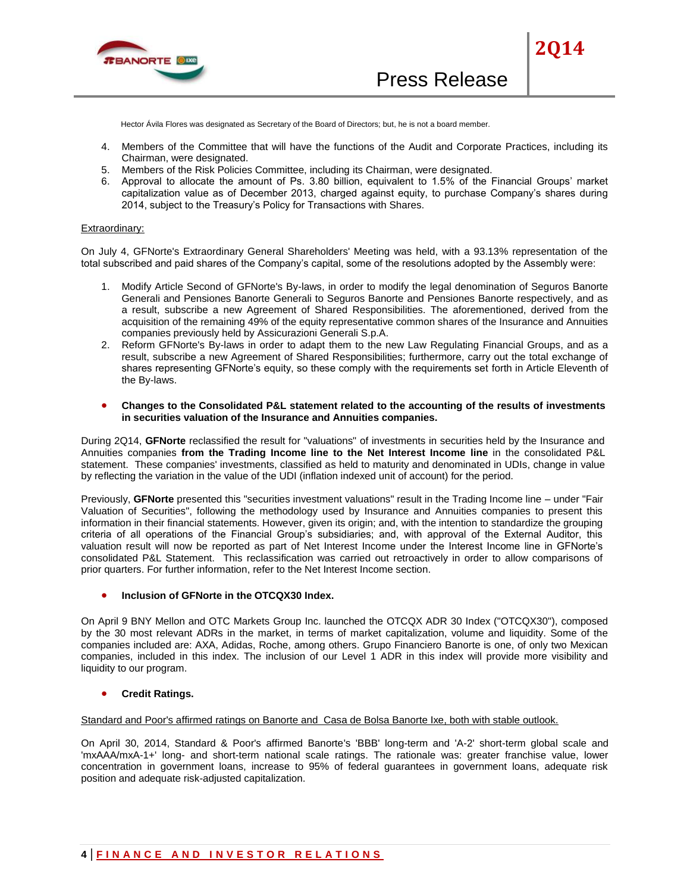

Hector Ávila Flores was designated as Secretary of the Board of Directors; but, he is not a board member.

- 4. Members of the Committee that will have the functions of the Audit and Corporate Practices, including its Chairman, were designated.
- 5. Members of the Risk Policies Committee, including its Chairman, were designated.
- 6. Approval to allocate the amount of Ps. 3.80 billion, equivalent to 1.5% of the Financial Groups' market capitalization value as of December 2013, charged against equity, to purchase Company's shares during 2014, subject to the Treasury's Policy for Transactions with Shares.

#### Extraordinary:

On July 4, GFNorte's Extraordinary General Shareholders' Meeting was held, with a 93.13% representation of the total subscribed and paid shares of the Company's capital, some of the resolutions adopted by the Assembly were:

- 1. Modify Article Second of GFNorte's By-laws, in order to modify the legal denomination of Seguros Banorte Generali and Pensiones Banorte Generali to Seguros Banorte and Pensiones Banorte respectively, and as a result, subscribe a new Agreement of Shared Responsibilities. The aforementioned, derived from the acquisition of the remaining 49% of the equity representative common shares of the Insurance and Annuities companies previously held by Assicurazioni Generali S.p.A.
- 2. Reform GFNorte's By-laws in order to adapt them to the new Law Regulating Financial Groups, and as a result, subscribe a new Agreement of Shared Responsibilities; furthermore, carry out the total exchange of shares representing GFNorte's equity, so these comply with the requirements set forth in Article Eleventh of the By-laws.
- **Changes to the Consolidated P&L statement related to the accounting of the results of investments in securities valuation of the Insurance and Annuities companies.**

During 2Q14, **GFNorte** reclassified the result for "valuations" of investments in securities held by the Insurance and Annuities companies **from the Trading Income line to the Net Interest Income line** in the consolidated P&L statement. These companies' investments, classified as held to maturity and denominated in UDIs, change in value by reflecting the variation in the value of the UDI (inflation indexed unit of account) for the period.

Previously, **GFNorte** presented this "securities investment valuations" result in the Trading Income line – under "Fair Valuation of Securities", following the methodology used by Insurance and Annuities companies to present this information in their financial statements. However, given its origin; and, with the intention to standardize the grouping criteria of all operations of the Financial Group's subsidiaries; and, with approval of the External Auditor, this valuation result will now be reported as part of Net Interest Income under the Interest Income line in GFNorte's consolidated P&L Statement. This reclassification was carried out retroactively in order to allow comparisons of prior quarters. For further information, refer to the Net Interest Income section.

#### **Inclusion of GFNorte in the OTCQX30 Index.**

On April 9 BNY Mellon and OTC Markets Group Inc. launched the OTCQX ADR 30 Index ("OTCQX30"), composed by the 30 most relevant ADRs in the market, in terms of market capitalization, volume and liquidity. Some of the companies included are: AXA, Adidas, Roche, among others. Grupo Financiero Banorte is one, of only two Mexican companies, included in this index. The inclusion of our Level 1 ADR in this index will provide more visibility and liquidity to our program.

#### **Credit Ratings.**

#### Standard and Poor's affirmed ratings on Banorte and Casa de Bolsa Banorte Ixe, both with stable outlook.

On April 30, 2014, Standard & Poor's affirmed Banorte's 'BBB' long-term and 'A-2' short-term global scale and 'mxAAA/mxA-1+' long- and short-term national scale ratings. The rationale was: greater franchise value, lower concentration in government loans, increase to 95% of federal guarantees in government loans, adequate risk position and adequate risk-adjusted capitalization.